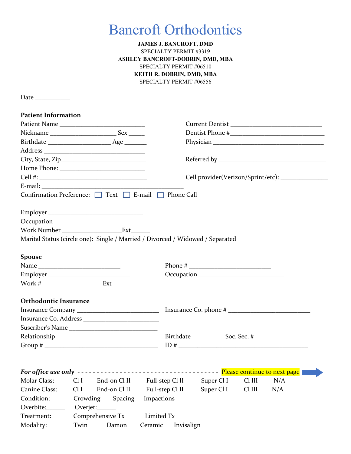# Bancroft Orthodontics

## **JAMES J. BANCROFT, DMD** SPECIALTY PERMIT #3319 **ASHLEY BANCROFT-DOBRIN, DMD, MBA** SPECIALTY PERMIT #06510 **KEITH R. DOBRIN, DMD, MBA** SPECIALTY PERMIT #06556

Date \_\_\_\_\_\_\_\_\_\_\_

| <b>Patient Information</b>   |                                                                                                                                                                                                                                                                                                                                                                                                              |                                                                                                                         |
|------------------------------|--------------------------------------------------------------------------------------------------------------------------------------------------------------------------------------------------------------------------------------------------------------------------------------------------------------------------------------------------------------------------------------------------------------|-------------------------------------------------------------------------------------------------------------------------|
|                              | Patient Name                                                                                                                                                                                                                                                                                                                                                                                                 | Current Dentist                                                                                                         |
|                              |                                                                                                                                                                                                                                                                                                                                                                                                              |                                                                                                                         |
|                              |                                                                                                                                                                                                                                                                                                                                                                                                              |                                                                                                                         |
|                              |                                                                                                                                                                                                                                                                                                                                                                                                              |                                                                                                                         |
|                              |                                                                                                                                                                                                                                                                                                                                                                                                              |                                                                                                                         |
|                              |                                                                                                                                                                                                                                                                                                                                                                                                              |                                                                                                                         |
|                              |                                                                                                                                                                                                                                                                                                                                                                                                              | Cell provider(Verizon/Sprint/etc): ______________                                                                       |
|                              |                                                                                                                                                                                                                                                                                                                                                                                                              |                                                                                                                         |
|                              | Confirmation Preference: □ Text □ E-mail □ Phone Call                                                                                                                                                                                                                                                                                                                                                        |                                                                                                                         |
|                              |                                                                                                                                                                                                                                                                                                                                                                                                              |                                                                                                                         |
|                              |                                                                                                                                                                                                                                                                                                                                                                                                              |                                                                                                                         |
|                              | Work Number __________________________Ext_________                                                                                                                                                                                                                                                                                                                                                           |                                                                                                                         |
|                              |                                                                                                                                                                                                                                                                                                                                                                                                              | Marital Status (circle one): Single / Married / Divorced / Widowed / Separated                                          |
|                              |                                                                                                                                                                                                                                                                                                                                                                                                              |                                                                                                                         |
| <b>Spouse</b>                |                                                                                                                                                                                                                                                                                                                                                                                                              |                                                                                                                         |
|                              |                                                                                                                                                                                                                                                                                                                                                                                                              |                                                                                                                         |
|                              |                                                                                                                                                                                                                                                                                                                                                                                                              |                                                                                                                         |
|                              |                                                                                                                                                                                                                                                                                                                                                                                                              |                                                                                                                         |
|                              |                                                                                                                                                                                                                                                                                                                                                                                                              |                                                                                                                         |
| <b>Orthodontic Insurance</b> |                                                                                                                                                                                                                                                                                                                                                                                                              |                                                                                                                         |
|                              |                                                                                                                                                                                                                                                                                                                                                                                                              |                                                                                                                         |
|                              |                                                                                                                                                                                                                                                                                                                                                                                                              |                                                                                                                         |
|                              |                                                                                                                                                                                                                                                                                                                                                                                                              |                                                                                                                         |
|                              |                                                                                                                                                                                                                                                                                                                                                                                                              |                                                                                                                         |
|                              | Group # $\frac{1}{\sqrt{1-\frac{1}{2}}\sqrt{1-\frac{1}{2}}\sqrt{1-\frac{1}{2}}\sqrt{1-\frac{1}{2}}\sqrt{1-\frac{1}{2}}\sqrt{1-\frac{1}{2}}\sqrt{1-\frac{1}{2}}\sqrt{1-\frac{1}{2}}\sqrt{1-\frac{1}{2}}\sqrt{1-\frac{1}{2}}\sqrt{1-\frac{1}{2}}\sqrt{1-\frac{1}{2}}\sqrt{1-\frac{1}{2}}\sqrt{1-\frac{1}{2}}\sqrt{1-\frac{1}{2}}\sqrt{1-\frac{1}{2}}\sqrt{1-\frac{1}{2}}\sqrt{1-\frac{1}{2}}\sqrt{1-\frac{1}{$ |                                                                                                                         |
|                              |                                                                                                                                                                                                                                                                                                                                                                                                              |                                                                                                                         |
|                              |                                                                                                                                                                                                                                                                                                                                                                                                              | <u> The Communication of the Communication of the Communication of the Communication of the Communication of the Co</u> |
| Molar Class:                 | Cl I<br>End-on Cl II                                                                                                                                                                                                                                                                                                                                                                                         | Full-step Cl II<br>Super Cl I<br>Cl III<br>N/A                                                                          |
| Canine Class:                | End-on Cl II<br>Cl I                                                                                                                                                                                                                                                                                                                                                                                         | Full-step Cl II<br>Cl III<br>Super Cl I<br>N/A                                                                          |
| Condition:                   | Spacing<br>Crowding                                                                                                                                                                                                                                                                                                                                                                                          | Impactions                                                                                                              |
| Overbite:__                  | Overjet:                                                                                                                                                                                                                                                                                                                                                                                                     |                                                                                                                         |
| Treatment:                   | Comprehensive Tx                                                                                                                                                                                                                                                                                                                                                                                             | Limited Tx                                                                                                              |
| Modality:                    | Twin<br>Damon                                                                                                                                                                                                                                                                                                                                                                                                | Ceramic<br>Invisalign                                                                                                   |
|                              |                                                                                                                                                                                                                                                                                                                                                                                                              |                                                                                                                         |